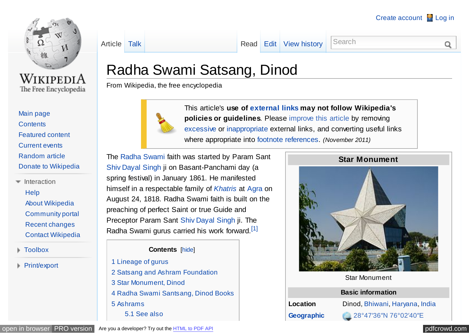<span id="page-0-0"></span>

WikipediA The Free Encyclopedia

- [Main page](http://en.wikipedia.org/wiki/Main_Page) **[Contents](http://en.wikipedia.org/wiki/Portal:Contents)** [Featured content](http://en.wikipedia.org/wiki/Portal:Featured_content) [Current events](http://en.wikipedia.org/wiki/Portal:Current_events) [Random article](http://en.wikipedia.org/wiki/Special:Random) [Donate to Wikipedia](http://donate.wikimedia.org/wiki/Special:FundraiserRedirector?utm_source=donate&utm_medium=sidebar&utm_campaign=C13_en.wikipedia.org&uselang=en)
- $\equiv$ Interaction **[Help](http://en.wikipedia.org/wiki/Help:Contents)** [About Wikipedia](http://en.wikipedia.org/wiki/Wikipedia:About) [Community portal](http://en.wikipedia.org/wiki/Wikipedia:Community_portal) [Recent changes](http://en.wikipedia.org/wiki/Special:RecentChanges) [Contact Wikipedia](http://en.wikipedia.org/wiki/Wikipedia:Contact_us)
- Toolbox
- **Print/export**

## [Article](http://en.wikipedia.org/wiki/Radha_Swami_Satsang,_Dinod) [Talk](http://en.wikipedia.org/wiki/Talk:Radha_Swami_Satsang,_Dinod) Talk [Read](http://en.wikipedia.org/wiki/Radha_Swami_Satsang,_Dinod) [Edit](http://en.wikipedia.org/w/index.php?title=Radha_Swami_Satsang,_Dinod&action=edit) [View history](http://en.wikipedia.org/w/index.php?title=Radha_Swami_Satsang,_Dinod&action=history) Search

# Radha Swami Satsang, Dinod

From Wikipedia, the free encyclopedia



This article's **use of [external links](http://en.wikipedia.org/wiki/Wikipedia:External_links) may not follow Wikipedia's policies or guidelines**. Please [improve this article](http://en.wikipedia.org/w/index.php?title=Radha_Swami_Satsang,_Dinod&action=edit) by removing [excessive](http://en.wikipedia.org/wiki/Wikipedia:What_Wikipedia_is_not#Wikipedia_is_not_a_mirror_or_a_repository_of_links.2C_images.2C_or_media_files) or [inappropriate](http://en.wikipedia.org/wiki/Wikipedia:External_links) external links, and converting useful links where appropriate into [footnote references.](http://en.wikipedia.org/wiki/Wikipedia:Citing_sources) *(November 2011)*

The [Radha Swami](http://en.wikipedia.org/wiki/Radha_Swami) faith was started by Param Sant [Shiv Dayal Singh](http://en.wikipedia.org/wiki/Shiv_Dayal_Singh) ji on Basant-Panchami day (a spring festival) in January 1861. He manifested himself in a respectable family of *[Khatris](http://en.wikipedia.org/wiki/Khatris)* at [Agra](http://en.wikipedia.org/wiki/Agra) on August 24, 1818. Radha Swami faith is built on the preaching of perfect Saint or true Guide and Preceptor Param Sant [Shiv Dayal Singh](http://en.wikipedia.org/wiki/Shiv_Dayal_Singh) ji. The Radha Swami gurus carried his work forward.<sup>[\[1\]](#page-8-0)</sup>

**Contents** [hide]

- 1 [Lineage of gurus](#page-1-0)
- 2 [Satsang and Ashram Foundation](#page-1-0)
- 3 [Star Monument, Dinod](#page-1-0)
- 4 [Radha Swami Santsang, Dinod Books](#page-3-0)
- 5 [Ashrams](#page-4-0)
	- 5.1 [See also](#page-8-0)



Star Monument

#### **Basic information**

**Location** Dinod, [Bhiwani,](http://en.wikipedia.org/wiki/Bhiwani) [Haryana,](http://en.wikipedia.org/wiki/Haryana) [India](http://en.wikipedia.org/wiki/India) **[Geographic](http://en.wikipedia.org/wiki/Geographic_coordinate_system)** [28°47′36″N](http://toolserver.org/~geohack/geohack.php?pagename=Radha_Swami_Satsang,_Dinod¶ms=28.7933401_N_76.0444933_E_) 76°02′40″E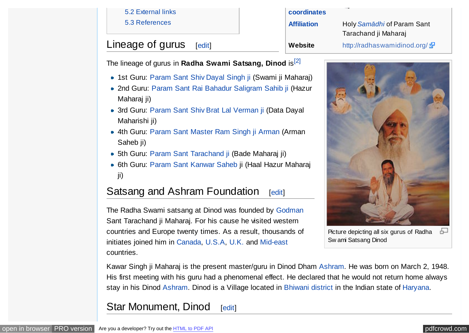#### 5.2 [External links](#page-8-0)

5.3 [References](#page-8-0)

# <span id="page-1-0"></span>Lineage of gurus  $[edit]$  $[edit]$

The lineage of gurus in **Radha Swami Satsang, Dinod** is<sup>[\[2\]](#page-8-0)</sup>

- 1st Guru: [Param Sant Shiv Dayal Singh ji](http://en.wikipedia.org/wiki/Shiv_Dayal_Singh) (Swami ji Maharaj)
- 2nd Guru: [Param Sant Rai Bahadur Saligram Sahib ji](http://en.wikipedia.org/wiki/Rai_Saligram) (Hazur Maharaj ji)
- 3rd Guru: [Param Sant Shiv Brat Lal Verman ji](http://en.wikipedia.org/wiki/Shiv_Brat_Lal) (Data Dayal Maharishi ji)
- 4th Guru: [Param Sant Master Ram Singh ji Arman](http://en.wikipedia.org/wiki/Ram_Singh_Arman) (Arman Saheb ji)
- 5th Guru: [Param Sant Tarachand ji](http://en.wikipedia.org/wiki/Sant_Tarachand) (Bade Maharaj ji)
- 6th Guru: [Param Sant Kanwar Saheb](http://en.wikipedia.org/wiki/Param_Sant_Kanwar_Saheb) ji (Haal Hazur Maharaj ji)

# Satsang and Ashram Foundation [[edit\]](http://en.wikipedia.org/w/index.php?title=Radha_Swami_Satsang,_Dinod&action=edit§ion=2)

The Radha Swami satsang at Dinod was founded by [Godman](http://en.wikipedia.org/wiki/Godman_(Hindu_ascetic)) Sant Tarachand ji Maharaj. For his cause he visited western countries and Europe twenty times. As a result, thousands of initiates joined him in [Canada,](http://en.wikipedia.org/wiki/Canada) [U.S.A,](http://en.wikipedia.org/wiki/U.S.A) [U.K.](http://en.wikipedia.org/wiki/U.K.) and [Mid-east](http://en.wikipedia.org/wiki/Mid-east) countries.

**[Affiliation](http://en.wikipedia.org/wiki/List_of_religions_and_spiritual_traditions)** Holy *[Samādhi](http://en.wikipedia.org/wiki/Sam%C4%81dhi)* of Param Sant Tarachand ji Maharaj **Website** <http://radhaswamidinod.org/>



Picture depicting all six gurus of Radha 모 Sw ami Satsang Dinod

Kawar Singh ji Maharaj is the present master/guru in Dinod Dham [Ashram.](http://en.wikipedia.org/wiki/Ashram) He was born on March 2, 1948. His first meeting with his guru had a phenomenal effect. He declared that he would not return home always stay in his Dinod [Ashram.](http://en.wikipedia.org/wiki/Ashram) Dinod is a Village located in [Bhiwani district](http://en.wikipedia.org/wiki/Bhiwani_district) in the Indian state of [Haryana.](http://en.wikipedia.org/wiki/Haryana)

**[coordinates](http://en.wikipedia.org/wiki/Geographic_coordinate_system)**

## Star Monument, Dinod [[edit\]](http://en.wikipedia.org/w/index.php?title=Radha_Swami_Satsang,_Dinod&action=edit§ion=3)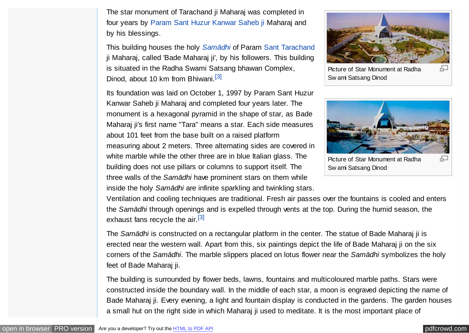<span id="page-2-0"></span>The star monument of Tarachand ji Maharaj was completed in four years by [Param Sant Huzur Kanwar Saheb ji](http://en.wikipedia.org/wiki/Param_Sant_Kanwar_Saheb) Maharaj and by his blessings.

This building houses the holy *[Samādhi](http://en.wikipedia.org/wiki/Sam%C4%81dhi)* of Param [Sant Tarachand](http://en.wikipedia.org/wiki/Sant_Tarachand) ji Maharaj, called 'Bade Maharaj ji', by his followers. This building is situated in the Radha Swami Satsang bhawan Complex, Dinod, about 10 km from Bhiwani.<sup>[\[3\]](#page-8-0)</sup>

Its foundation was laid on October 1, 1997 by Param Sant Huzur Kanwar Saheb ji Maharaj and completed four years later. The monument is a hexagonal pyramid in the shape of star, as Bade Maharaj ji's first name "Tara" means a star. Each side measures about 101 feet from the base built on a raised platform measuring about 2 meters. Three alternating sides are covered in white marble while the other three are in blue Italian glass. The building does not use pillars or columns to support itself. The three walls of the *Samādhi* have prominent stars on them while inside the holy *Samādhi* are infinite sparkling and twinkling stars.



Picture of Star Monument at Radha Sw ami Satsang Dinod



Ventilation and cooling techniques are traditional. Fresh air passes over the fountains is cooled and enters the *Samādhi* through openings and is expelled through vents at the top. During the humid season, the exhaust fans recycle the air.<sup>[\[3\]](#page-8-0)</sup>

The *Samādhi* is constructed on a rectangular platform in the center. The statue of Bade Maharaj ji is erected near the western wall. Apart from this, six paintings depict the life of Bade Maharaj ji on the six corners of the *Samādhi*. The marble slippers placed on lotus flower near the *Samādhi* symbolizes the holy feet of Bade Maharaj ji.

The building is surrounded by flower beds, lawns, fountains and multicoloured marble paths. Stars were constructed inside the boundary wall. In the middle of each star, a moon is engraved depicting the name of Bade Maharaj ji. Every evening, a light and fountain display is conducted in the gardens. The garden houses a small hut on the right side in which Maharaj ji used to meditate. It is the most important place of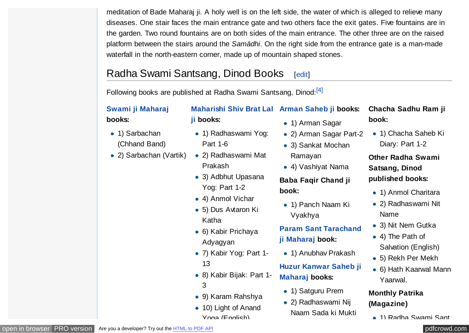<span id="page-3-0"></span>meditation of Bade Maharaj ji. A holy well is on the left side, the water of which is alleged to relieve many diseases. One stair faces the main entrance gate and two others face the exit gates. Five fountains are in the garden. Two round fountains are on both sides of the main entrance. The other three are on the raised platform between the stairs around the *Samādhi*. On the right side from the entrance gate is a man-made waterfall in the north-eastern corner, made up of mountain shaped stones.

# Radha Swami Santsang, Dinod Books [[edit\]](http://en.wikipedia.org/w/index.php?title=Radha_Swami_Satsang,_Dinod&action=edit§ion=4)

Following books are published at Radha Swami Santsang, Dinod:<sup>[\[4\]](#page-8-0)</sup>

Part 1-6

Prakash

Katha

13

3

Adyagyan

• 1) Radhaswami Yog:

• 2) Radhaswami Mat

• 3) Adbhut Upasana

Yog: Part 1-2 4) Anmol Vichar • 5) Dus Avtaron Ki

• 6) Kabir Prichaya

7) Kabir Yog: Part 1-

8) Kabir Bijak: Part 1-

9) Karam Rahshya

● 10) Light of Anand Yoga (English)

#### **[Swami ji Maharaj](http://en.wikipedia.org/wiki/Shiv_Dayal_Singh) books:**

- 1) Sarbachan (Chhand Band)
- 2) Sarbachan (Vartik)
- **[Maharishi Shiv Brat Lal](http://en.wikipedia.org/wiki/Shiv_Brat_Lal) [Arman Saheb ji](http://en.wikipedia.org/wiki/Ram_Singh_Arman) books: ji books:**
	- 1) Arman Sagar
	- 2) Arman Sagar Part-2
	- 3) Sankat Mochan Ramayan
	- 4) Vashiyat Nama

#### **Baba Faqir Chand ji book:**

• 1) Panch Naam Ki Vyakhya

## **[Param Sant Tarachand](http://en.wikipedia.org/wiki/Sant_Tarachand) ji Maharaj book:**

• 1) Anubhav Prakash

## **[Huzur Kanwar Saheb ji](http://en.wikipedia.org/wiki/Param_Sant_Kanwar_Saheb) Maharaj books:**

- 1) Satguru Prem
- 2) Radhaswami Nij Naam Sada ki Mukti

#### **Chacha Sadhu Ram ji book:**

● 1) Chacha Saheb Ki Diary: Part 1-2

## **Other Radha Swami Satsang, Dinod published books:**

- 1) Anmol Charitara
- 2) Radhaswami Nit Name
- 3) Nit Nem Gutka
- 4) The Path of Salvation (English)
- 5) Rekh Per Mekh
- 6) Hath Kaarwal Mann Yaarwal.

#### **Monthly Patrika (Magazine)**

1) Radha Swami Sant

#### [open in browser](http://pdfcrowd.com/redirect/?url=http%3a%2f%2fen.wikipedia.org%2fwiki%2fRadha_Swami_Satsang%2c_Dinod&id=ma-130607013741-d97ab229) [PRO version](http://pdfcrowd.com/customize/) Are you a developer? Try out th[e HTML to PDF API](http://pdfcrowd.com/html-to-pdf-api/?ref=pdf) position and the Area of the Area of the Area of the Area of the Area of the Area of the Area of the Area of the Area of the Area of the Area of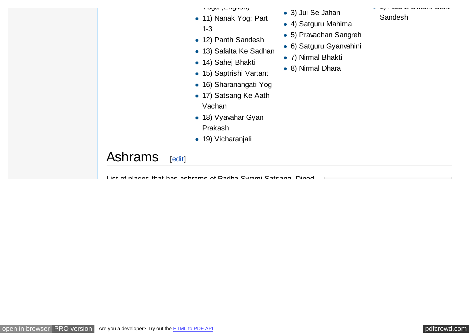ו טשע נבחשווטוון

- 11) Nanak Yog: Part 1-3
- 12) Panth Sandesh
- 13) Safalta Ke Sadhan
- 14) Sahej Bhakti
- 15) Saptrishi Vartant
- 16) Sharanangati Yog
- 17) Satsang Ke Aath Vachan
- **18) Vyavahar Gyan** Prakash
- 19) Vicharanjali

List of places that has ashrams of Radha Swami Satsang, Dinod

#### 3) Jui Se Jahan

- 4) Satguru Mahima
- 5) Pravachan Sangreh
- 6) Satguru Gyanvahini
- 7) Nirmal Bhakti
- 8) Nirmal Dhara

1) Radha Swami Sant

Sandesh

<span id="page-4-0"></span>Ashrams [[edit\]](http://en.wikipedia.org/w/index.php?title=Radha_Swami_Satsang,_Dinod&action=edit§ion=5)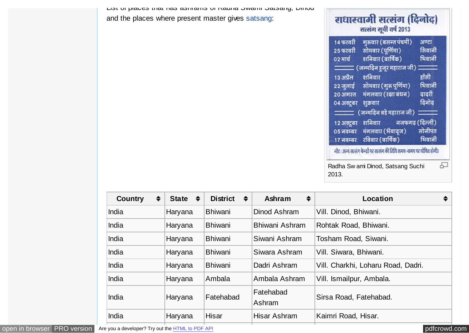| 14 फरवरी   | गुरूवार (बसन्त पंचमी)                              | अण्टा  |
|------------|----------------------------------------------------|--------|
| 25 फरवरी   | सोमवार (पूर्णिमा)                                  | सिवानी |
| ०२ मार्च   | शनिवार (वार्षिक)                                   | भिवानी |
|            | <del>________</del> (जन्मदिन हुजूर महाराज जी) ____ |        |
| 13 अप्रैल  | शनिवार                                             | हॉसी   |
|            | 22 जुलाई सोमवार (गुरू पूर्णिमा)                    | भिवानी |
| 20 अगस्त   | मंगलवार (रक्षा बंधन)                               | वादरी  |
| ०४ अक्टूबर | शुक्रवार                                           | दिनोद  |
|            |                                                    |        |
| 12 अक्टूबर | नजफगढ़ (दिल्ली)<br>शनिवार                          |        |
|            | 05 नवम्बर - मंगलबार (भैयाद्ज)                      | सोनीपत |
| 17 नवम्बर  | रविवार (वार्षिक)                                   | भिवानी |

| $\div$<br><b>Country</b> | State $\div$ | $\div$<br><b>District</b> | $\div$<br>Ashram    | $\div$<br>Location                 |
|--------------------------|--------------|---------------------------|---------------------|------------------------------------|
| India                    | Haryana      | <b>Bhiwani</b>            | Dinod Ashram        | Vill. Dinod, Bhiwani.              |
| India                    | Haryana      | <b>Bhiwani</b>            | Bhiwani Ashram      | Rohtak Road, Bhiwani.              |
| India                    | Haryana      | <b>Bhiwani</b>            | Siwani Ashram       | Tosham Road, Siwani.               |
| India                    | Haryana      | <b>Bhiwani</b>            | Siwara Ashram       | Vill. Siwara, Bhiwani.             |
| India                    | Haryana      | <b>Bhiwani</b>            | Dadri Ashram        | Vill. Charkhi, Loharu Road, Dadri. |
| India                    | Haryana      | Ambala                    | Ambala Ashram       | Vill. Ismailpur, Ambala.           |
| India                    | Haryana      | Fatehabad                 | Fatehabad<br>Ashram | Sirsa Road, Fatehabad.             |
| India                    | Haryana      | <b>Hisar</b>              | Hisar Ashram        | Kaimri Road, Hisar.                |
|                          |              |                           |                     |                                    |

List of places that has ashrams of Radha Swami Satsang, Dinod

and the places where present master gives [satsang:](http://en.wikipedia.org/wiki/Satsang)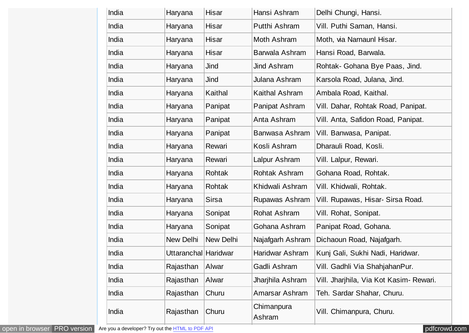| India | Haryana              | <b>Hisar</b> | Hansi Ashram         | Delhi Chungi, Hansi.                    |
|-------|----------------------|--------------|----------------------|-----------------------------------------|
| India | Haryana              | Hisar        | Putthi Ashram        | Vill. Puthi Saman, Hansi.               |
| India | Haryana              | Hisar        | Moth Ashram          | Moth, via Narnaunl Hisar.               |
| India | Haryana              | <b>Hisar</b> | Barwala Ashram       | Hansi Road, Barwala.                    |
| India | Haryana              | Jind         | Jind Ashram          | Rohtak- Gohana Bye Paas, Jind.          |
| India | Haryana              | Jind         | Julana Ashram        | Karsola Road, Julana, Jind.             |
| India | Haryana              | Kaithal      | Kaithal Ashram       | Ambala Road, Kaithal.                   |
| India | Haryana              | Panipat      | Panipat Ashram       | Vill. Dahar, Rohtak Road, Panipat.      |
| India | Haryana              | Panipat      | Anta Ashram          | Vill. Anta, Safidon Road, Panipat.      |
| India | Haryana              | Panipat      | Banwasa Ashram       | Vill. Banwasa, Panipat.                 |
| India | Haryana              | Rewari       | Kosli Ashram         | Dharauli Road, Kosli.                   |
| India | Haryana              | Rewari       | Lalpur Ashram        | Vill. Lalpur, Rewari.                   |
| India | Haryana              | Rohtak       | Rohtak Ashram        | Gohana Road, Rohtak.                    |
| India | Haryana              | Rohtak       | Khidwali Ashram      | Vill. Khidwali, Rohtak.                 |
| India | Haryana              | <b>Sirsa</b> | Rupawas Ashram       | Vill. Rupawas, Hisar- Sirsa Road.       |
| India | Haryana              | Sonipat      | Rohat Ashram         | Vill. Rohat, Sonipat.                   |
| India | Haryana              | Sonipat      | Gohana Ashram        | Panipat Road, Gohana.                   |
| India | New Delhi            | New Delhi    | Najafgarh Ashram     | Dichaoun Road, Najafgarh.               |
| India | Uttaranchal Haridwar |              | Haridwar Ashram      | Kunj Gali, Sukhi Nadi, Haridwar.        |
| India | Rajasthan            | Alwar        | Gadli Ashram         | Vill. Gadhli Via ShahjahanPur.          |
| India | Rajasthan            | Alwar        | Jharjhila Ashram     | Vill. Jharjhila, Via Kot Kasim- Rewari. |
| India | Rajasthan            | Churu        | Amarsar Ashram       | Teh. Sardar Shahar, Churu.              |
| India | Rajasthan            | Churu        | Chimanpura<br>Ashram | Vill. Chimanpura, Churu.                |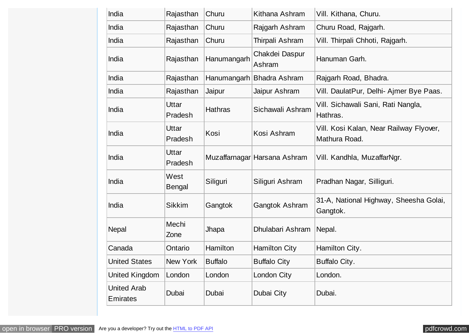| India                                 | Rajasthan               | Churu          | Kithana Ashram               | Vill. Kithana, Churu.                                    |
|---------------------------------------|-------------------------|----------------|------------------------------|----------------------------------------------------------|
| India                                 | Rajasthan               | Churu          | Rajgarh Ashram               | Churu Road, Rajgarh.                                     |
| India                                 | Rajasthan               | Churu          | Thirpali Ashram              | Vill. Thirpali Chhoti, Rajgarh.                          |
| India                                 | Rajasthan               | Hanumangarh    | Chakdei Daspur<br>Ashram     | Hanuman Garh.                                            |
| India                                 | Rajasthan               |                | Hanumangarh Bhadra Ashram    | Rajgarh Road, Bhadra.                                    |
| India                                 | Rajasthan               | Jaipur         | Jaipur Ashram                | Vill. DaulatPur, Delhi- Ajmer Bye Paas.                  |
| India                                 | <b>Uttar</b><br>Pradesh | <b>Hathras</b> | Sichawali Ashram             | Vill. Sichawali Sani, Rati Nangla,<br>Hathras.           |
| India                                 | Uttar<br>Pradesh        | Kosi           | Kosi Ashram                  | Vill. Kosi Kalan, Near Railway Flyover,<br>Mathura Road. |
| India                                 | <b>Uttar</b><br>Pradesh |                | Muzaffarnagar Harsana Ashram | Vill. Kandhla, MuzaffarNgr.                              |
| India                                 | West<br><b>Bengal</b>   | Siliguri       | Siliguri Ashram              | Pradhan Nagar, Silliguri.                                |
| India                                 | <b>Sikkim</b>           | Gangtok        | <b>Gangtok Ashram</b>        | 31-A, National Highway, Sheesha Golai,<br>Gangtok.       |
| <b>Nepal</b>                          | Mechi<br>Zone           | Jhapa          | Dhulabari Ashram             | Nepal.                                                   |
| Canada                                | Ontario                 | Hamilton       | <b>Hamilton City</b>         | Hamilton City.                                           |
| <b>United States</b>                  | New York                | <b>Buffalo</b> | <b>Buffalo City</b>          | Buffalo City.                                            |
| United Kingdom                        | London                  | London         | London City                  | London.                                                  |
| <b>United Arab</b><br><b>Emirates</b> | Dubai                   | Dubai          | Dubai City                   | Dubai.                                                   |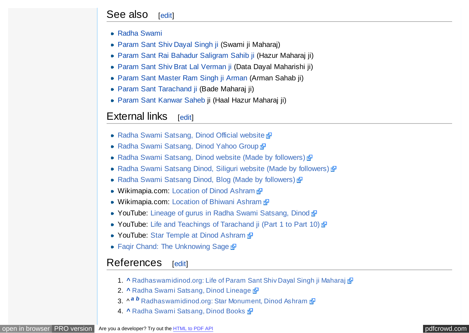### <span id="page-8-0"></span>See also [[edit\]](http://en.wikipedia.org/w/index.php?title=Radha_Swami_Satsang,_Dinod&action=edit§ion=6)

- [Radha Swami](http://en.wikipedia.org/wiki/Radha_Soami)
- [Param Sant Shiv Dayal Singh ji](http://en.wikipedia.org/wiki/Shiv_Dayal_Singh) (Swami ji Maharaj)
- [Param Sant Rai Bahadur Saligram Sahib ji](http://en.wikipedia.org/wiki/Rai_Saligram) (Hazur Maharaj ji)
- [Param Sant Shiv Brat Lal Verman ji](http://en.wikipedia.org/wiki/Shiv_Brat_Lal) (Data Dayal Maharishi ji)
- [Param Sant Master Ram Singh ji Arman](http://en.wikipedia.org/wiki/Ram_Singh_Arman) (Arman Sahab ji)
- [Param Sant Tarachand ji](http://en.wikipedia.org/wiki/Sant_Tarachand) (Bade Maharaj ji)
- [Param Sant Kanwar Saheb](http://en.wikipedia.org/wiki/Param_Sant_Kanwar_Saheb) ji (Haal Hazur Maharaj ji)

## $External$   $line$   $Fedit$

- [Radha Swami Satsang, Dinod Official website](http://www.radhaswamidinod.org/) &
- [Radha Swami Satsang, Dinod Yahoo Group](http://groups.yahoo.com/group/RadhaswamiDham/)
- [Radha Swami Satsang, Dinod website \(Made by followers\)](http://www.vrcreativegroup.com/ashram.html)  $\mathbb{F}$
- [Radha Swami Satsang Dinod, Siliguri website \(Made by followers\)](http://www.radhaswamisiliguri.org/)  $\mathbb{F}$
- [Radha Swami Satsang Dinod, Blog \(Made by followers\)](http://radhaswamisatsangdinod.blogspot.com/)
- Wikimapia.com: [Location of Dinod Ashram](http://www.wikimapia.org/#lat=28.793246&lon=76.044606&z=18&l=0&m=a&v=2)  $\frac{1}{2}$
- Wikimapia.com: [Location of Bhiwani Ashram](http://www.wikimapia.org/#lat=28.794647&lon=76.155722&z=18&l=0&m=a&v=2)
- YouTube: [Lineage of gurus in Radha Swami Satsang, Dinod](http://www.youtube.com/watch?v=7X_7zYWev6w) a
- YouTube: [Life and Teachings of Tarachand ji \(Part 1 to Part 10\)](http://www.youtube.com/watch?v=PmlkTaIca6Y&feature=PlayList&p=65E08C45E63E53BD&index=0&playnext=1)  $\frac{1}{6}$
- YouTube: [Star Temple at Dinod Ashram](http://www.youtube.com/watch?v=Xkr8UikbCjs)
- [Faqir Chand: The Unknowing Sage](http://web.archive.org/web/20091027071955/http://geocities.com/eckcult/faqir.html)  $\frac{dP}{dt}$

## References [[edit\]](http://en.wikipedia.org/w/index.php?title=Radha_Swami_Satsang,_Dinod&action=edit§ion=8)

- 1. **[^](#page-0-0)** [Radhaswamidinod.org: Life of Param Sant Shiv Dayal Singh ji Maharaj](http://www.radhaswamidinod.org/lineage.htm)  $\vec{P}$
- 2. **[^](#page-1-0)** [Radha Swami Satsang, Dinod Lineage](http://www.radhaswamidinod.org/lineage.htm)
- 3. ^  $a$  **[b](#page-2-0)** [Radhaswamidinod.org: Star Monument, Dinod Ashram](http://www.radhaswamidinod.org/monument.htm)  $\Phi$
- 4. **[^](#page-3-0)** [Radha Swami Satsang, Dinod Books](http://www.radhaswamidinod.org/library.htm)